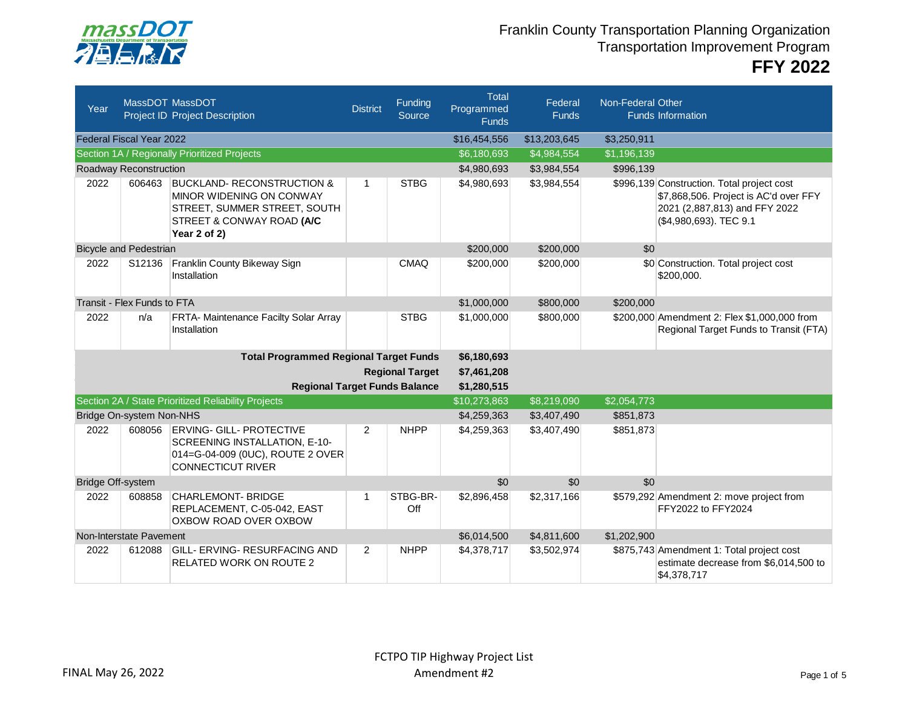

## Franklin County Transportation Planning Organization Transportation Improvement Program

| Year                        | MassDOT MassDOT                 | <b>Project ID Project Description</b>                                                                                                          | <b>District</b> | Funding<br>Source      | <b>Total</b><br>Programmed<br><b>Funds</b> | Federal<br>Funds | Non-Federal Other | <b>Funds Information</b>                                                                                                                       |
|-----------------------------|---------------------------------|------------------------------------------------------------------------------------------------------------------------------------------------|-----------------|------------------------|--------------------------------------------|------------------|-------------------|------------------------------------------------------------------------------------------------------------------------------------------------|
|                             | <b>Federal Fiscal Year 2022</b> |                                                                                                                                                |                 |                        | \$16,454,556                               | \$13,203,645     | \$3,250,911       |                                                                                                                                                |
|                             |                                 | Section 1A / Regionally Prioritized Projects                                                                                                   |                 |                        | \$6,180,693                                | \$4,984,554      | \$1,196,139       |                                                                                                                                                |
|                             | <b>Roadway Reconstruction</b>   |                                                                                                                                                |                 |                        | \$4,980,693                                | \$3,984,554      | \$996,139         |                                                                                                                                                |
| 2022                        | 606463                          | <b>BUCKLAND- RECONSTRUCTION &amp;</b><br>MINOR WIDENING ON CONWAY<br>STREET, SUMMER STREET, SOUTH<br>STREET & CONWAY ROAD (A/C<br>Year 2 of 2) | 1               | <b>STBG</b>            | \$4,980,693                                | \$3,984,554      |                   | \$996,139 Construction. Total project cost<br>\$7,868,506. Project is AC'd over FFY<br>2021 (2,887,813) and FFY 2022<br>(\$4,980,693). TEC 9.1 |
|                             | <b>Bicycle and Pedestrian</b>   |                                                                                                                                                |                 |                        | \$200,000                                  | \$200,000        | \$0               |                                                                                                                                                |
| 2022                        | S12136                          | Franklin County Bikeway Sign<br>Installation                                                                                                   |                 | CMAQ                   | \$200,000                                  | \$200,000        |                   | \$0 Construction. Total project cost<br>\$200,000.                                                                                             |
| Transit - Flex Funds to FTA |                                 |                                                                                                                                                |                 |                        | \$1,000,000                                | \$800,000        | \$200,000         |                                                                                                                                                |
| 2022                        | n/a                             | FRTA- Maintenance Facilty Solar Array<br>Installation                                                                                          |                 | <b>STBG</b>            | \$1,000,000                                | \$800,000        |                   | \$200,000 Amendment 2: Flex \$1,000,000 from<br>Regional Target Funds to Transit (FTA)                                                         |
|                             |                                 | <b>Total Programmed Regional Target Funds</b>                                                                                                  |                 |                        | \$6,180,693                                |                  |                   |                                                                                                                                                |
|                             |                                 |                                                                                                                                                |                 | <b>Regional Target</b> | \$7,461,208                                |                  |                   |                                                                                                                                                |
|                             |                                 | <b>Regional Target Funds Balance</b>                                                                                                           |                 |                        | \$1,280,515                                |                  |                   |                                                                                                                                                |
|                             |                                 | Section 2A / State Prioritized Reliability Projects                                                                                            |                 |                        | \$10,273,863                               | \$8,219,090      | \$2,054,773       |                                                                                                                                                |
|                             | Bridge On-system Non-NHS        |                                                                                                                                                |                 |                        | \$4,259,363                                | \$3,407,490      | \$851,873         |                                                                                                                                                |
| 2022                        | 608056                          | <b>ERVING- GILL- PROTECTIVE</b><br>SCREENING INSTALLATION, E-10-<br>014=G-04-009 (0UC), ROUTE 2 OVER<br><b>CONNECTICUT RIVER</b>               | 2               | <b>NHPP</b>            | \$4,259,363                                | \$3,407,490      | \$851,873         |                                                                                                                                                |
| <b>Bridge Off-system</b>    |                                 |                                                                                                                                                |                 |                        | \$0                                        | \$0              | \$0               |                                                                                                                                                |
| 2022                        | 608858                          | <b>CHARLEMONT-BRIDGE</b><br>REPLACEMENT, C-05-042, EAST<br>OXBOW ROAD OVER OXBOW                                                               |                 | STBG-BR-<br>Off        | \$2,896,458                                | \$2,317,166      |                   | \$579,292 Amendment 2: move project from<br>FFY2022 to FFY2024                                                                                 |
| Non-Interstate Pavement     |                                 |                                                                                                                                                |                 |                        | \$6,014,500                                | \$4,811,600      | \$1,202,900       |                                                                                                                                                |
| 2022                        | 612088                          | <b>GILL- ERVING- RESURFACING AND</b><br><b>RELATED WORK ON ROUTE 2</b>                                                                         | $\overline{2}$  | <b>NHPP</b>            | \$4,378,717                                | \$3,502,974      |                   | \$875,743 Amendment 1: Total project cost<br>estimate decrease from \$6,014,500 to<br>\$4,378,717                                              |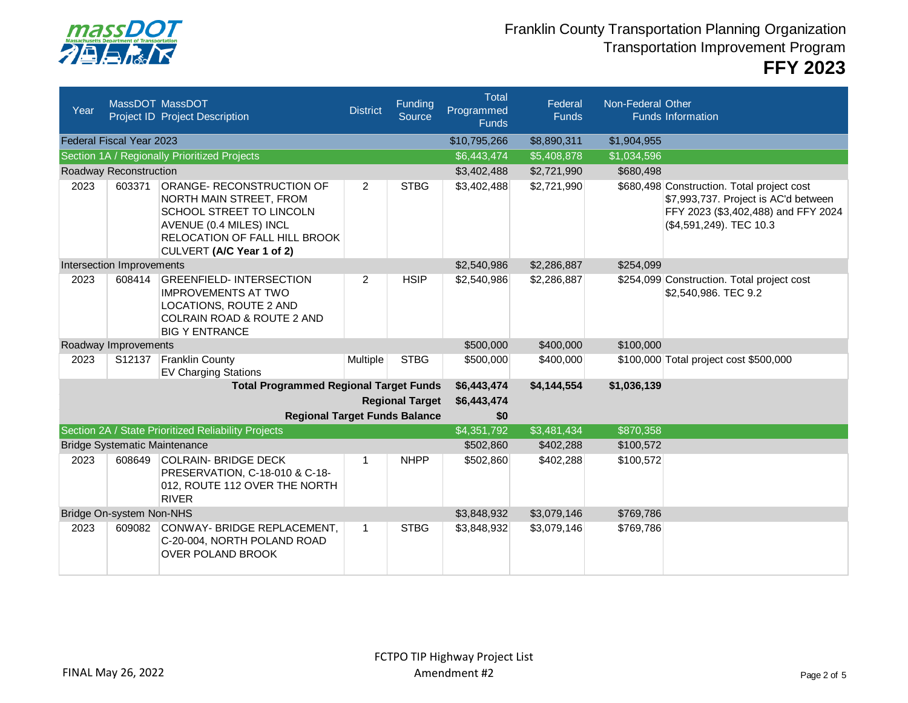

## Franklin County Transportation Planning Organization Transportation Improvement Program **FFY 2023**

| Year                     |                                      | MassDOT MassDOT<br>Project ID Project Description                                                                                                                                | <b>District</b> | Funding<br>Source      | <b>Total</b><br>Programmed<br><b>Funds</b> | Federal<br><b>Funds</b> | Non-Federal Other | <b>Funds Information</b>                                                                                                                             |
|--------------------------|--------------------------------------|----------------------------------------------------------------------------------------------------------------------------------------------------------------------------------|-----------------|------------------------|--------------------------------------------|-------------------------|-------------------|------------------------------------------------------------------------------------------------------------------------------------------------------|
|                          | Federal Fiscal Year 2023             |                                                                                                                                                                                  |                 |                        | \$10,795,266                               | \$8,890,311             | \$1,904,955       |                                                                                                                                                      |
|                          |                                      | Section 1A / Regionally Prioritized Projects                                                                                                                                     |                 |                        | \$6,443,474                                | \$5,408,878             | \$1,034,596       |                                                                                                                                                      |
|                          | Roadway Reconstruction               |                                                                                                                                                                                  |                 |                        | \$3,402,488                                | \$2,721,990             | \$680,498         |                                                                                                                                                      |
| 2023                     | 603371                               | ORANGE- RECONSTRUCTION OF<br>NORTH MAIN STREET, FROM<br><b>SCHOOL STREET TO LINCOLN</b><br>AVENUE (0.4 MILES) INCL<br>RELOCATION OF FALL HILL BROOK<br>CULVERT (A/C Year 1 of 2) | $\overline{2}$  | <b>STBG</b>            | \$3,402,488                                | \$2,721,990             |                   | \$680,498 Construction. Total project cost<br>\$7,993,737. Project is AC'd between<br>FFY 2023 (\$3,402,488) and FFY 2024<br>(\$4,591,249). TEC 10.3 |
|                          | Intersection Improvements            |                                                                                                                                                                                  |                 |                        | \$2,540,986                                | \$2,286,887             | \$254,099         |                                                                                                                                                      |
| 2023                     | 608414                               | <b>GREENFIELD- INTERSECTION</b><br><b>IMPROVEMENTS AT TWO</b><br>LOCATIONS, ROUTE 2 AND<br>COLRAIN ROAD & ROUTE 2 AND<br><b>BIG Y ENTRANCE</b>                                   | $\overline{2}$  | <b>HSIP</b>            | \$2,540,986                                | \$2,286,887             |                   | \$254,099 Construction. Total project cost<br>\$2,540,986. TEC 9.2                                                                                   |
|                          | Roadway Improvements                 |                                                                                                                                                                                  |                 |                        | \$500,000                                  | \$400,000               | \$100,000         |                                                                                                                                                      |
| 2023                     | S12137                               | Franklin County<br><b>EV Charging Stations</b>                                                                                                                                   | Multiple        | <b>STBG</b>            | \$500,000                                  | \$400,000               |                   | \$100,000 Total project cost \$500,000                                                                                                               |
|                          |                                      | <b>Total Programmed Regional Target Funds</b>                                                                                                                                    |                 |                        | \$6,443,474                                | \$4,144,554             | \$1,036,139       |                                                                                                                                                      |
|                          |                                      |                                                                                                                                                                                  |                 | <b>Regional Target</b> | \$6,443,474                                |                         |                   |                                                                                                                                                      |
|                          |                                      | <b>Regional Target Funds Balance</b>                                                                                                                                             |                 |                        | \$0                                        |                         |                   |                                                                                                                                                      |
|                          |                                      | Section 2A / State Prioritized Reliability Projects                                                                                                                              |                 |                        | \$4,351,792                                | \$3,481,434             | \$870,358         |                                                                                                                                                      |
|                          | <b>Bridge Systematic Maintenance</b> |                                                                                                                                                                                  |                 |                        | \$502,860                                  | \$402,288               | \$100,572         |                                                                                                                                                      |
| 2023                     | 608649                               | <b>COLRAIN- BRIDGE DECK</b><br>PRESERVATION, C-18-010 & C-18-<br>012, ROUTE 112 OVER THE NORTH<br><b>RIVER</b>                                                                   |                 | <b>NHPP</b>            | \$502,860                                  | \$402,288               | \$100,572         |                                                                                                                                                      |
| Bridge On-system Non-NHS |                                      |                                                                                                                                                                                  |                 |                        | \$3,848,932                                | \$3,079,146             | \$769,786         |                                                                                                                                                      |
| 2023                     | 609082                               | CONWAY- BRIDGE REPLACEMENT,<br>C-20-004, NORTH POLAND ROAD<br><b>OVER POLAND BROOK</b>                                                                                           |                 | <b>STBG</b>            | \$3,848,932                                | \$3,079,146             | \$769,786         |                                                                                                                                                      |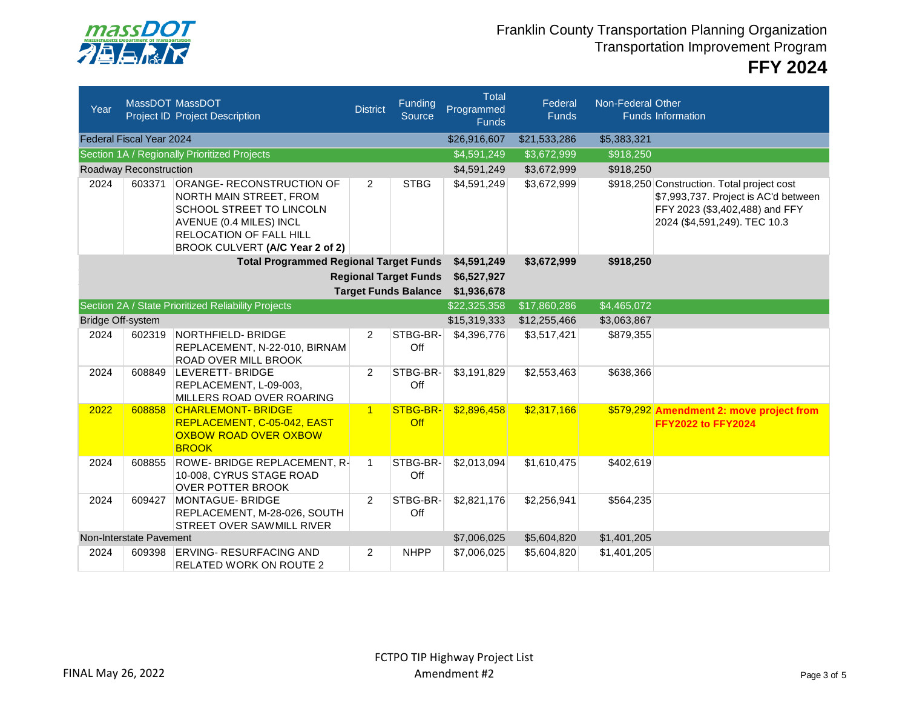

## Franklin County Transportation Planning Organization Transportation Improvement Program

## **FFY 2024**

| Year                                                |                                 | MassDOT MassDOT<br><b>Project ID Project Description</b>                                                                                                                 | <b>District</b> | <b>Funding</b><br>Source     | <b>Total</b><br>Programmed<br><b>Funds</b> | Federal<br><b>Funds</b> | Non-Federal Other | <b>Funds Information</b>                                                                                                                             |
|-----------------------------------------------------|---------------------------------|--------------------------------------------------------------------------------------------------------------------------------------------------------------------------|-----------------|------------------------------|--------------------------------------------|-------------------------|-------------------|------------------------------------------------------------------------------------------------------------------------------------------------------|
|                                                     | <b>Federal Fiscal Year 2024</b> |                                                                                                                                                                          |                 |                              | \$26,916,607                               | \$21,533,286            | \$5,383,321       |                                                                                                                                                      |
|                                                     |                                 | Section 1A / Regionally Prioritized Projects                                                                                                                             |                 |                              | \$4,591,249                                | \$3,672,999             | \$918,250         |                                                                                                                                                      |
|                                                     | Roadway Reconstruction          |                                                                                                                                                                          |                 |                              | \$4,591,249                                | \$3,672,999             | \$918,250         |                                                                                                                                                      |
| 2024                                                | 603371                          | ORANGE-RECONSTRUCTION OF<br>NORTH MAIN STREET, FROM<br>SCHOOL STREET TO LINCOLN<br>AVENUE (0.4 MILES) INCL<br>RELOCATION OF FALL HILL<br>BROOK CULVERT (A/C Year 2 of 2) | $\overline{2}$  | <b>STBG</b>                  | \$4,591,249                                | \$3,672,999             |                   | \$918,250 Construction. Total project cost<br>\$7,993,737. Project is AC'd between<br>FFY 2023 (\$3,402,488) and FFY<br>2024 (\$4,591,249). TEC 10.3 |
|                                                     |                                 | <b>Total Programmed Regional Target Funds</b>                                                                                                                            |                 |                              | \$4,591,249                                | \$3,672,999             | \$918,250         |                                                                                                                                                      |
|                                                     |                                 |                                                                                                                                                                          |                 | <b>Regional Target Funds</b> | \$6,527,927                                |                         |                   |                                                                                                                                                      |
|                                                     |                                 |                                                                                                                                                                          |                 | <b>Target Funds Balance</b>  | \$1,936,678                                |                         |                   |                                                                                                                                                      |
| Section 2A / State Prioritized Reliability Projects |                                 |                                                                                                                                                                          |                 |                              | \$22,325,358                               | \$17,860,286            | \$4,465,072       |                                                                                                                                                      |
| Bridge Off-system                                   |                                 |                                                                                                                                                                          |                 | \$15,319,333                 | \$12,255,466                               | \$3,063,867             |                   |                                                                                                                                                      |
| 2024                                                | 602319                          | NORTHFIELD-BRIDGE<br>REPLACEMENT, N-22-010, BIRNAM<br>ROAD OVER MILL BROOK                                                                                               | $\overline{2}$  | STBG-BR-<br>Off              | \$4,396,776                                | \$3,517,421             | \$879,355         |                                                                                                                                                      |
| 2024                                                | 608849                          | LEVERETT-BRIDGE<br>REPLACEMENT, L-09-003,<br>MILLERS ROAD OVER ROARING                                                                                                   | $\overline{2}$  | STBG-BR-<br>Off              | \$3,191,829                                | \$2,553,463             | \$638,366         |                                                                                                                                                      |
| 2022                                                | 608858                          | <b>CHARLEMONT-BRIDGE</b><br>REPLACEMENT, C-05-042, EAST<br><b>OXBOW ROAD OVER OXBOW</b><br><b>BROOK</b>                                                                  | $\overline{1}$  | STBG-BR-<br>Off              | \$2,896,458                                | \$2,317,166             |                   | \$579,292 Amendment 2: move project from<br><b>FFY2022 to FFY2024</b>                                                                                |
| 2024                                                | 608855                          | ROWE- BRIDGE REPLACEMENT, R-<br>10-008, CYRUS STAGE ROAD<br><b>OVER POTTER BROOK</b>                                                                                     | $\mathbf{1}$    | STBG-BR-<br>Off              | \$2,013,094                                | \$1,610,475             | \$402,619         |                                                                                                                                                      |
| 2024                                                | 609427                          | <b>MONTAGUE-BRIDGE</b><br>REPLACEMENT, M-28-026, SOUTH<br><b>STREET OVER SAWMILL RIVER</b>                                                                               | $\overline{2}$  | STBG-BR-<br>Off              | \$2,821,176                                | \$2,256,941             | \$564,235         |                                                                                                                                                      |
|                                                     | Non-Interstate Pavement         |                                                                                                                                                                          |                 |                              | \$7,006,025                                | \$5,604,820             | \$1,401,205       |                                                                                                                                                      |
| 2024                                                | 609398                          | <b>ERVING- RESURFACING AND</b><br><b>RELATED WORK ON ROUTE 2</b>                                                                                                         | $\overline{2}$  | <b>NHPP</b>                  | \$7,006,025                                | \$5,604,820             | \$1,401,205       |                                                                                                                                                      |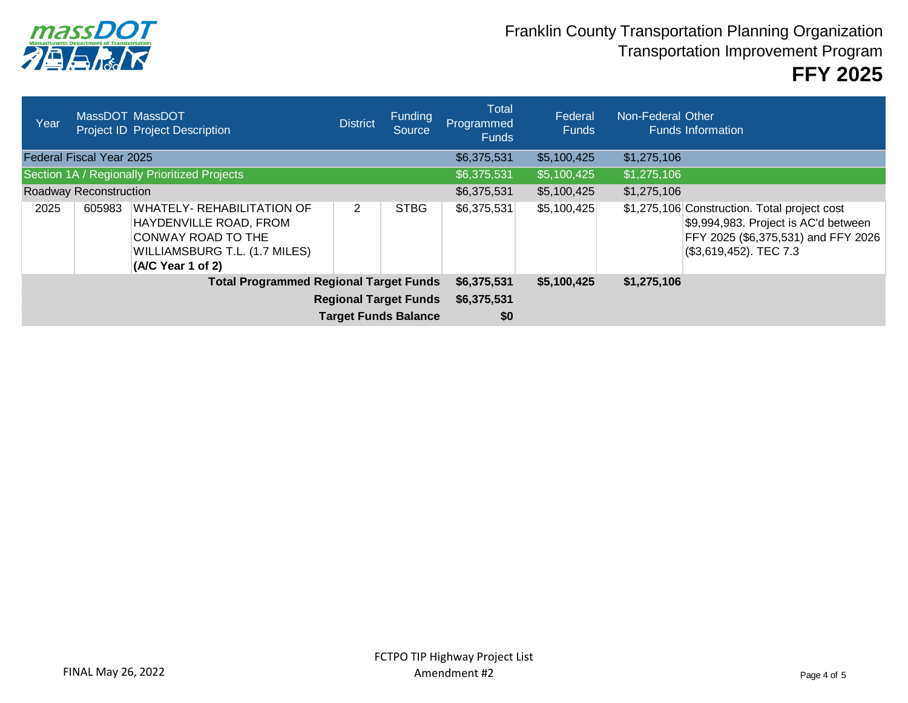

| Year                                                                          |                                 | MassDOT MassDOT<br><b>Project ID Project Description</b>                                                                                | <b>District</b> | <b>Funding</b><br>Source | Total<br>Programmed<br><b>Funds</b> | Federal<br><b>Funds</b> | Non-Federal Other | <b>Funds Information</b>                                                                                                                                 |
|-------------------------------------------------------------------------------|---------------------------------|-----------------------------------------------------------------------------------------------------------------------------------------|-----------------|--------------------------|-------------------------------------|-------------------------|-------------------|----------------------------------------------------------------------------------------------------------------------------------------------------------|
|                                                                               | <b>Federal Fiscal Year 2025</b> |                                                                                                                                         |                 |                          | \$6,375,531                         | \$5,100,425             | \$1,275,106       |                                                                                                                                                          |
|                                                                               |                                 | Section 1A / Regionally Prioritized Projects                                                                                            |                 |                          | \$6,375,531                         | \$5,100,425             | \$1,275,106       |                                                                                                                                                          |
| Roadway Reconstruction                                                        |                                 |                                                                                                                                         |                 |                          | \$6,375,531                         | \$5,100,425             | \$1,275,106       |                                                                                                                                                          |
| 2025                                                                          | 605983                          | <b>WHATELY- REHABILITATION OF</b><br>HAYDENVILLE ROAD, FROM<br>CONWAY ROAD TO THE<br>WILLIAMSBURG T.L. (1.7 MILES)<br>(A/C Year 1 of 2) | 2               | <b>STBG</b>              | \$6,375,531                         | \$5,100,425             |                   | \$1,275,106 Construction. Total project cost<br>\$9,994,983. Project is AC'd between<br>FFY 2025 (\$6,375,531) and FFY 2026<br>$($ \$3,619,452). TEC 7.3 |
| <b>Total Programmed Regional Target Funds</b><br><b>Regional Target Funds</b> |                                 |                                                                                                                                         |                 |                          | \$6,375,531<br>\$6,375,531          | \$5,100,425             | \$1,275,106       |                                                                                                                                                          |
| <b>Target Funds Balance</b>                                                   |                                 |                                                                                                                                         |                 |                          | \$0                                 |                         |                   |                                                                                                                                                          |